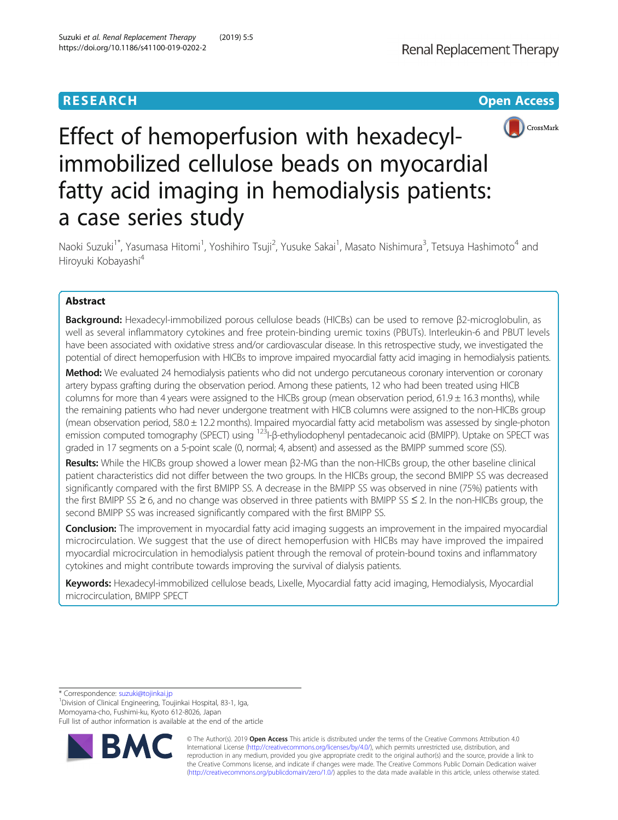## **RESEARCH CHE Open Access**



# Effect of hemoperfusion with hexadecylimmobilized cellulose beads on myocardial fatty acid imaging in hemodialysis patients: a case series study

Naoki Suzuki<sup>1\*</sup>, Yasumasa Hitomi<sup>1</sup>, Yoshihiro Tsuji<sup>2</sup>, Yusuke Sakai<sup>1</sup>, Masato Nishimura<sup>3</sup>, Tetsuya Hashimoto<sup>4</sup> and Hiroyuki Kobayashi<sup>4</sup>

## Abstract

Background: Hexadecyl-immobilized porous cellulose beads (HICBs) can be used to remove β2-microglobulin, as well as several inflammatory cytokines and free protein-binding uremic toxins (PBUTs). Interleukin-6 and PBUT levels have been associated with oxidative stress and/or cardiovascular disease. In this retrospective study, we investigated the potential of direct hemoperfusion with HICBs to improve impaired myocardial fatty acid imaging in hemodialysis patients.

Method: We evaluated 24 hemodialysis patients who did not undergo percutaneous coronary intervention or coronary artery bypass grafting during the observation period. Among these patients, 12 who had been treated using HICB columns for more than 4 years were assigned to the HICBs group (mean observation period,  $61.9 \pm 16.3$  months), while the remaining patients who had never undergone treatment with HICB columns were assigned to the non-HICBs group (mean observation period, 58.0 ± 12.2 months). Impaired myocardial fatty acid metabolism was assessed by single-photon emission computed tomography (SPECT) using <sup>123</sup>I-β-ethyliodophenyl pentadecanoic acid (BMIPP). Uptake on SPECT was graded in 17 segments on a 5-point scale (0, normal; 4, absent) and assessed as the BMIPP summed score (SS).

Results: While the HICBs group showed a lower mean β2-MG than the non-HICBs group, the other baseline clinical patient characteristics did not differ between the two groups. In the HICBs group, the second BMIPP SS was decreased significantly compared with the first BMIPP SS. A decrease in the BMIPP SS was observed in nine (75%) patients with the first BMIPP SS  $\geq$  6, and no change was observed in three patients with BMIPP SS  $\leq$  2. In the non-HICBs group, the second BMIPP SS was increased significantly compared with the first BMIPP SS.

**Conclusion:** The improvement in myocardial fatty acid imaging suggests an improvement in the impaired myocardial microcirculation. We suggest that the use of direct hemoperfusion with HICBs may have improved the impaired myocardial microcirculation in hemodialysis patient through the removal of protein-bound toxins and inflammatory cytokines and might contribute towards improving the survival of dialysis patients.

Keywords: Hexadecyl-immobilized cellulose beads, Lixelle, Myocardial fatty acid imaging, Hemodialysis, Myocardial microcirculation, BMIPP SPECT

\* Correspondence: [suzuki@tojinkai.jp](mailto:suzuki@tojinkai.jp) <sup>1</sup>

<sup>1</sup> Division of Clinical Engineering, Toujinkai Hospital, 83-1, Iga, Momoyama-cho, Fushimi-ku, Kyoto 612-8026, Japan

Full list of author information is available at the end of the article



© The Author(s). 2019 **Open Access** This article is distributed under the terms of the Creative Commons Attribution 4.0 International License [\(http://creativecommons.org/licenses/by/4.0/](http://creativecommons.org/licenses/by/4.0/)), which permits unrestricted use, distribution, and reproduction in any medium, provided you give appropriate credit to the original author(s) and the source, provide a link to the Creative Commons license, and indicate if changes were made. The Creative Commons Public Domain Dedication waiver [\(http://creativecommons.org/publicdomain/zero/1.0/](http://creativecommons.org/publicdomain/zero/1.0/)) applies to the data made available in this article, unless otherwise stated.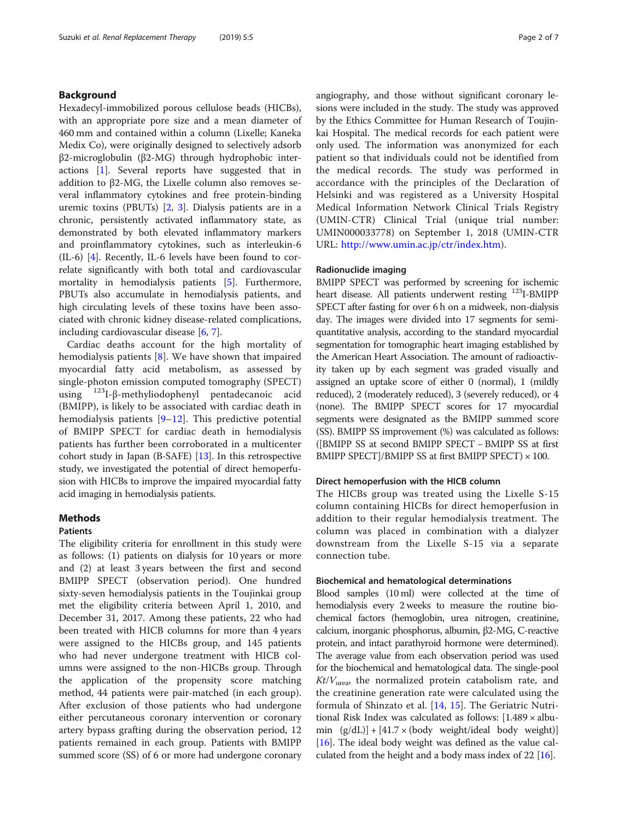## Background

Hexadecyl-immobilized porous cellulose beads (HICBs), with an appropriate pore size and a mean diameter of 460 mm and contained within a column (Lixelle; Kaneka Medix Co), were originally designed to selectively adsorb β2-microglobulin (β2-MG) through hydrophobic interactions [\[1\]](#page-5-0). Several reports have suggested that in addition to β2-MG, the Lixelle column also removes several inflammatory cytokines and free protein-binding uremic toxins (PBUTs) [\[2](#page-5-0), [3](#page-5-0)]. Dialysis patients are in a chronic, persistently activated inflammatory state, as demonstrated by both elevated inflammatory markers and proinflammatory cytokines, such as interleukin-6 (IL-6) [\[4](#page-5-0)]. Recently, IL-6 levels have been found to correlate significantly with both total and cardiovascular mortality in hemodialysis patients [[5\]](#page-5-0). Furthermore, PBUTs also accumulate in hemodialysis patients, and high circulating levels of these toxins have been associated with chronic kidney disease-related complications, including cardiovascular disease [[6,](#page-5-0) [7\]](#page-5-0).

Cardiac deaths account for the high mortality of hemodialysis patients [[8](#page-5-0)]. We have shown that impaired myocardial fatty acid metabolism, as assessed by single-photon emission computed tomography (SPECT) using <sup>123</sup>I-β-methyliodophenyl pentadecanoic acid (BMIPP), is likely to be associated with cardiac death in hemodialysis patients [[9](#page-5-0)–[12\]](#page-5-0). This predictive potential of BMIPP SPECT for cardiac death in hemodialysis patients has further been corroborated in a multicenter cohort study in Japan (B-SAFE) [\[13\]](#page-5-0). In this retrospective study, we investigated the potential of direct hemoperfusion with HICBs to improve the impaired myocardial fatty acid imaging in hemodialysis patients.

#### Methods

## Patients

The eligibility criteria for enrollment in this study were as follows: (1) patients on dialysis for 10 years or more and (2) at least 3 years between the first and second BMIPP SPECT (observation period). One hundred sixty-seven hemodialysis patients in the Toujinkai group met the eligibility criteria between April 1, 2010, and December 31, 2017. Among these patients, 22 who had been treated with HICB columns for more than 4 years were assigned to the HICBs group, and 145 patients who had never undergone treatment with HICB columns were assigned to the non-HICBs group. Through the application of the propensity score matching method, 44 patients were pair-matched (in each group). After exclusion of those patients who had undergone either percutaneous coronary intervention or coronary artery bypass grafting during the observation period, 12 patients remained in each group. Patients with BMIPP summed score (SS) of 6 or more had undergone coronary angiography, and those without significant coronary lesions were included in the study. The study was approved by the Ethics Committee for Human Research of Toujinkai Hospital. The medical records for each patient were only used. The information was anonymized for each patient so that individuals could not be identified from the medical records. The study was performed in accordance with the principles of the Declaration of Helsinki and was registered as a University Hospital Medical Information Network Clinical Trials Registry (UMIN-CTR) Clinical Trial (unique trial number: UMIN000033778) on September 1, 2018 (UMIN-CTR URL: [http://www.umin.ac.jp/ctr/index.htm\)](http://www.umin.ac.jp/ctr/index.htm).

#### Radionuclide imaging

BMIPP SPECT was performed by screening for ischemic heart disease. All patients underwent resting 123I-BMIPP SPECT after fasting for over 6 h on a midweek, non-dialysis day. The images were divided into 17 segments for semiquantitative analysis, according to the standard myocardial segmentation for tomographic heart imaging established by the American Heart Association. The amount of radioactivity taken up by each segment was graded visually and assigned an uptake score of either 0 (normal), 1 (mildly reduced), 2 (moderately reduced), 3 (severely reduced), or 4 (none). The BMIPP SPECT scores for 17 myocardial segments were designated as the BMIPP summed score (SS). BMIPP SS improvement (%) was calculated as follows: ([BMIPP SS at second BMIPP SPECT − BMIPP SS at first BMIPP SPECT]/BMIPP SS at first BMIPP SPECT)  $\times$  100.

#### Direct hemoperfusion with the HICB column

The HICBs group was treated using the Lixelle S-15 column containing HICBs for direct hemoperfusion in addition to their regular hemodialysis treatment. The column was placed in combination with a dialyzer downstream from the Lixelle S-15 via a separate connection tube.

#### Biochemical and hematological determinations

Blood samples (10 ml) were collected at the time of hemodialysis every 2 weeks to measure the routine biochemical factors (hemoglobin, urea nitrogen, creatinine, calcium, inorganic phosphorus, albumin, β2-MG, C-reactive protein, and intact parathyroid hormone were determined). The average value from each observation period was used for the biochemical and hematological data. The single-pool  $Kt/V<sub>urea</sub>$ , the normalized protein catabolism rate, and the creatinine generation rate were calculated using the formula of Shinzato et al. [\[14](#page-5-0), [15\]](#page-5-0). The Geriatric Nutritional Risk Index was calculated as follows: [1.489 × albumin  $(g/dL)] + [41.7 \times (body weight/ideal body weight)]$ [[16](#page-5-0)]. The ideal body weight was defined as the value calculated from the height and a body mass index of 22 [[16](#page-5-0)].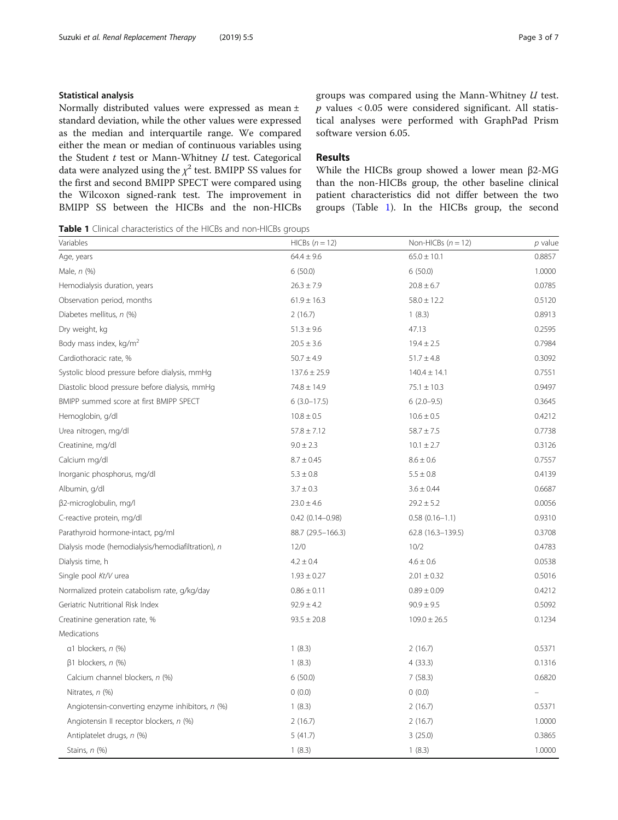## Statistical analysis

Normally distributed values were expressed as mean ± standard deviation, while the other values were expressed as the median and interquartile range. We compared either the mean or median of continuous variables using the Student  $t$  test or Mann-Whitney  $U$  test. Categorical data were analyzed using the  $\chi^2$  test. BMIPP SS values for the first and second BMIPP SPECT were compared using the Wilcoxon signed-rank test. The improvement in BMIPP SS between the HICBs and the non-HICBs groups was compared using the Mann-Whitney  $U$  test.  $p$  values < 0.05 were considered significant. All statistical analyses were performed with GraphPad Prism software version 6.05.

## Results

While the HICBs group showed a lower mean β2-MG than the non-HICBs group, the other baseline clinical patient characteristics did not differ between the two groups (Table 1). In the HICBs group, the second

Table 1 Clinical characteristics of the HICBs and non-HICBs groups

| Variables                                         | HICBs $(n = 12)$    | Non-HICBs $(n = 12)$ | $p$ value |
|---------------------------------------------------|---------------------|----------------------|-----------|
| Age, years                                        | $64.4 \pm 9.6$      | $65.0 \pm 10.1$      | 0.8857    |
| Male, n (%)                                       | 6(50.0)             | 6(50.0)              | 1.0000    |
| Hemodialysis duration, years                      | $26.3 \pm 7.9$      | $20.8 \pm 6.7$       | 0.0785    |
| Observation period, months                        | $61.9 \pm 16.3$     | $58.0 \pm 12.2$      | 0.5120    |
| Diabetes mellitus, n (%)                          | 2(16.7)             | 1(8.3)               | 0.8913    |
| Dry weight, kg                                    | $51.3 \pm 9.6$      | 47.13                | 0.2595    |
| Body mass index, kg/m <sup>2</sup>                | $20.5 \pm 3.6$      | $19.4 \pm 2.5$       | 0.7984    |
| Cardiothoracic rate, %                            | $50.7 \pm 4.9$      | $51.7 \pm 4.8$       | 0.3092    |
| Systolic blood pressure before dialysis, mmHg     | $137.6 \pm 25.9$    | $140.4 \pm 14.1$     | 0.7551    |
| Diastolic blood pressure before dialysis, mmHg    | $74.8 \pm 14.9$     | $75.1 \pm 10.3$      | 0.9497    |
| BMIPP summed score at first BMIPP SPECT           | $6(3.0-17.5)$       | $6(2.0-9.5)$         | 0.3645    |
| Hemoglobin, g/dl                                  | $10.8 \pm 0.5$      | $10.6 \pm 0.5$       | 0.4212    |
| Urea nitrogen, mg/dl                              | $57.8 \pm 7.12$     | $58.7 \pm 7.5$       | 0.7738    |
| Creatinine, mg/dl                                 | $9.0 \pm 2.3$       | $10.1 \pm 2.7$       | 0.3126    |
| Calcium mg/dl                                     | $8.7 \pm 0.45$      | $8.6 \pm 0.6$        | 0.7557    |
| Inorganic phosphorus, mg/dl                       | $5.3 \pm 0.8$       | $5.5 \pm 0.8$        | 0.4139    |
| Albumin, g/dl                                     | $3.7 \pm 0.3$       | $3.6 \pm 0.44$       | 0.6687    |
| β2-microglobulin, mg/l                            | $23.0 \pm 4.6$      | $29.2 \pm 5.2$       | 0.0056    |
| C-reactive protein, mg/dl                         | $0.42(0.14 - 0.98)$ | $0.58(0.16-1.1)$     | 0.9310    |
| Parathyroid hormone-intact, pg/ml                 | 88.7 (29.5-166.3)   | 62.8 (16.3-139.5)    | 0.3708    |
| Dialysis mode (hemodialysis/hemodiafiltration), n | 12/0                | 10/2                 | 0.4783    |
| Dialysis time, h                                  | $4.2 \pm 0.4$       | $4.6 \pm 0.6$        | 0.0538    |
| Single pool Kt/V urea                             | $1.93 \pm 0.27$     | $2.01 \pm 0.32$      | 0.5016    |
| Normalized protein catabolism rate, g/kg/day      | $0.86 \pm 0.11$     | $0.89 \pm 0.09$      | 0.4212    |
| Geriatric Nutritional Risk Index                  | $92.9 \pm 4.2$      | $90.9 \pm 9.5$       | 0.5092    |
| Creatinine generation rate, %                     | $93.5 \pm 20.8$     | $109.0 \pm 26.5$     | 0.1234    |
| Medications                                       |                     |                      |           |
| a1 blockers, n (%)                                | 1(8.3)              | 2(16.7)              | 0.5371    |
| $\beta$ 1 blockers, n (%)                         | 1(8.3)              | 4(33.3)              | 0.1316    |
| Calcium channel blockers, n (%)                   | 6(50.0)             | 7(58.3)              | 0.6820    |
| Nitrates, n (%)                                   | 0(0.0)              | 0(0.0)               |           |
| Angiotensin-converting enzyme inhibitors, n (%)   | 1(8.3)              | 2(16.7)              | 0.5371    |
| Angiotensin II receptor blockers, n (%)           | 2(16.7)             | 2(16.7)              | 1.0000    |
| Antiplatelet drugs, n (%)                         | 5(41.7)             | 3(25.0)              | 0.3865    |
| Stains, $n$ (%)                                   | 1(8.3)              | 1(8.3)               | 1.0000    |
|                                                   |                     |                      |           |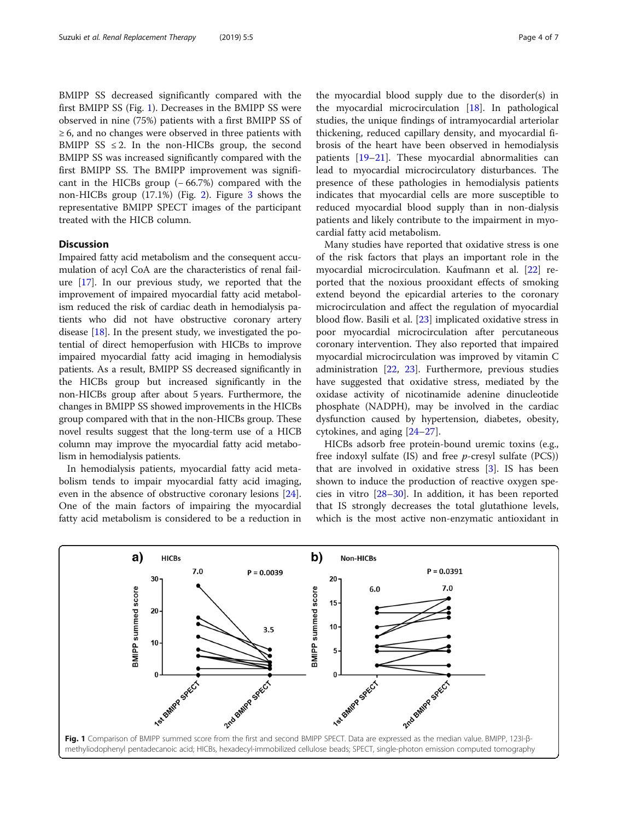BMIPP SS decreased significantly compared with the first BMIPP SS (Fig. 1). Decreases in the BMIPP SS were observed in nine (75%) patients with a first BMIPP SS of  $\geq 6$ , and no changes were observed in three patients with BMIPP SS  $\leq$  2. In the non-HICBs group, the second BMIPP SS was increased significantly compared with the first BMIPP SS. The BMIPP improvement was significant in the HICBs group  $(-66.7%)$  compared with the non-HICBs group (17.1%) (Fig. [2](#page-4-0)). Figure [3](#page-4-0) shows the representative BMIPP SPECT images of the participant treated with the HICB column.

## **Discussion**

Impaired fatty acid metabolism and the consequent accumulation of acyl CoA are the characteristics of renal failure [\[17](#page-6-0)]. In our previous study, we reported that the improvement of impaired myocardial fatty acid metabolism reduced the risk of cardiac death in hemodialysis patients who did not have obstructive coronary artery disease [\[18\]](#page-6-0). In the present study, we investigated the potential of direct hemoperfusion with HICBs to improve impaired myocardial fatty acid imaging in hemodialysis patients. As a result, BMIPP SS decreased significantly in the HICBs group but increased significantly in the non-HICBs group after about 5 years. Furthermore, the changes in BMIPP SS showed improvements in the HICBs group compared with that in the non-HICBs group. These novel results suggest that the long-term use of a HICB column may improve the myocardial fatty acid metabolism in hemodialysis patients.

In hemodialysis patients, myocardial fatty acid metabolism tends to impair myocardial fatty acid imaging, even in the absence of obstructive coronary lesions [\[24](#page-6-0)]. One of the main factors of impairing the myocardial fatty acid metabolism is considered to be a reduction in

the myocardial blood supply due to the disorder(s) in the myocardial microcirculation [\[18](#page-6-0)]. In pathological studies, the unique findings of intramyocardial arteriolar thickening, reduced capillary density, and myocardial fibrosis of the heart have been observed in hemodialysis patients [[19](#page-6-0)–[21](#page-6-0)]. These myocardial abnormalities can lead to myocardial microcirculatory disturbances. The presence of these pathologies in hemodialysis patients indicates that myocardial cells are more susceptible to reduced myocardial blood supply than in non-dialysis patients and likely contribute to the impairment in myocardial fatty acid metabolism.

Many studies have reported that oxidative stress is one of the risk factors that plays an important role in the myocardial microcirculation. Kaufmann et al. [[22](#page-6-0)] reported that the noxious prooxidant effects of smoking extend beyond the epicardial arteries to the coronary microcirculation and affect the regulation of myocardial blood flow. Basili et al. [[23\]](#page-6-0) implicated oxidative stress in poor myocardial microcirculation after percutaneous coronary intervention. They also reported that impaired myocardial microcirculation was improved by vitamin C administration [[22,](#page-6-0) [23](#page-6-0)]. Furthermore, previous studies have suggested that oxidative stress, mediated by the oxidase activity of nicotinamide adenine dinucleotide phosphate (NADPH), may be involved in the cardiac dysfunction caused by hypertension, diabetes, obesity, cytokines, and aging [[24](#page-6-0)–[27\]](#page-6-0).

HICBs adsorb free protein-bound uremic toxins (e.g., free indoxyl sulfate  $(IS)$  and free *p*-cresyl sulfate  $(PCS)$ ) that are involved in oxidative stress [[3\]](#page-5-0). IS has been shown to induce the production of reactive oxygen species in vitro [\[28](#page-6-0)–[30\]](#page-6-0). In addition, it has been reported that IS strongly decreases the total glutathione levels, which is the most active non-enzymatic antioxidant in

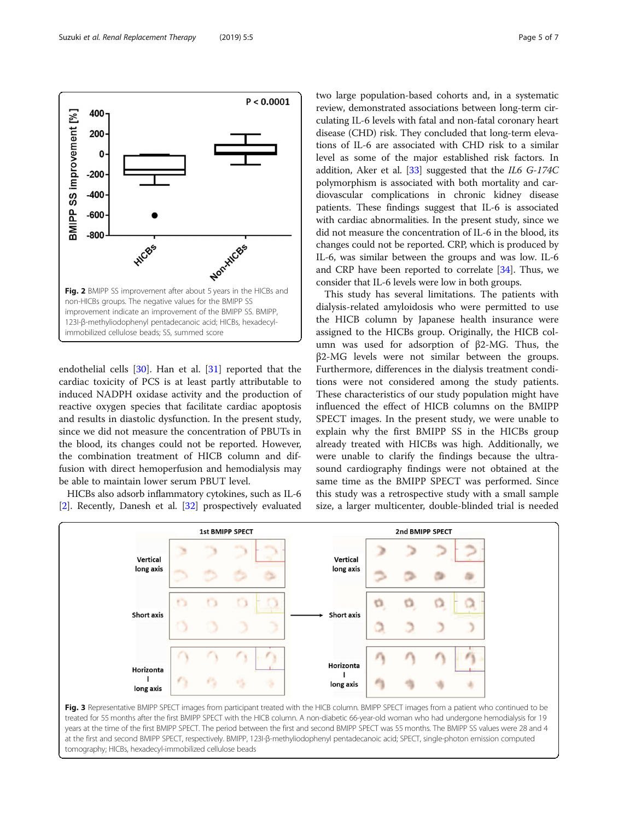endothelial cells [\[30](#page-6-0)]. Han et al. [[31\]](#page-6-0) reported that the cardiac toxicity of PCS is at least partly attributable to induced NADPH oxidase activity and the production of reactive oxygen species that facilitate cardiac apoptosis and results in diastolic dysfunction. In the present study, since we did not measure the concentration of PBUTs in the blood, its changes could not be reported. However, the combination treatment of HICB column and diffusion with direct hemoperfusion and hemodialysis may be able to maintain lower serum PBUT level.

HICBs also adsorb inflammatory cytokines, such as IL-6 [[2\]](#page-5-0). Recently, Danesh et al. [\[32](#page-6-0)] prospectively evaluated

tomography; HICBs, hexadecyl-immobilized cellulose beads

two large population-based cohorts and, in a systematic review, demonstrated associations between long-term circulating IL-6 levels with fatal and non-fatal coronary heart disease (CHD) risk. They concluded that long-term elevations of IL-6 are associated with CHD risk to a similar level as some of the major established risk factors. In addition, Aker et al.  $[33]$  $[33]$  suggested that the IL6 G-174C polymorphism is associated with both mortality and cardiovascular complications in chronic kidney disease patients. These findings suggest that IL-6 is associated with cardiac abnormalities. In the present study, since we did not measure the concentration of IL-6 in the blood, its changes could not be reported. CRP, which is produced by IL-6, was similar between the groups and was low. IL-6 and CRP have been reported to correlate  $[34]$ . Thus, we consider that IL-6 levels were low in both groups.

This study has several limitations. The patients with dialysis-related amyloidosis who were permitted to use the HICB column by Japanese health insurance were assigned to the HICBs group. Originally, the HICB column was used for adsorption of β2-MG. Thus, the β2-MG levels were not similar between the groups. Furthermore, differences in the dialysis treatment conditions were not considered among the study patients. These characteristics of our study population might have influenced the effect of HICB columns on the BMIPP SPECT images. In the present study, we were unable to explain why the first BMIPP SS in the HICBs group already treated with HICBs was high. Additionally, we were unable to clarify the findings because the ultrasound cardiography findings were not obtained at the same time as the BMIPP SPECT was performed. Since this study was a retrospective study with a small sample size, a larger multicenter, double-blinded trial is needed



 $-200$ 

 $P < 0.0001$ 

400

<span id="page-4-0"></span>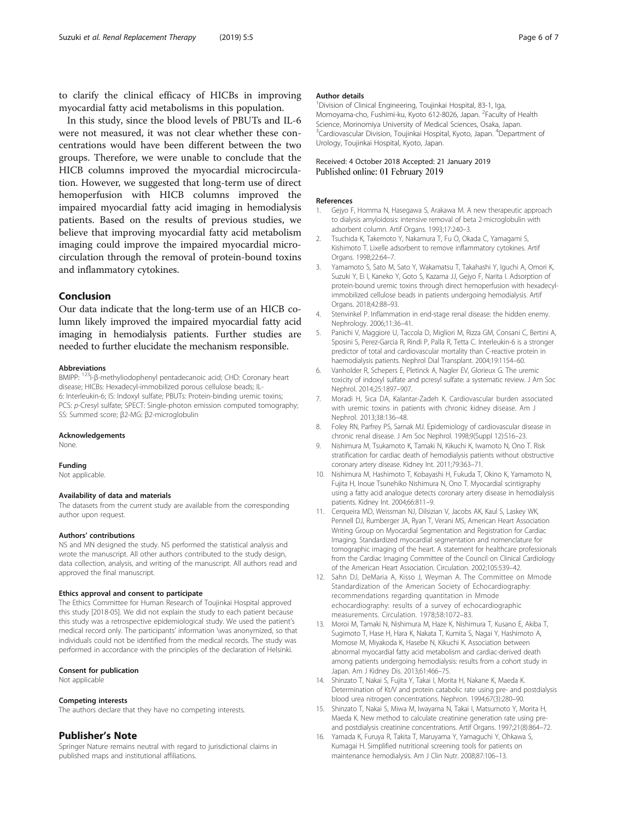<span id="page-5-0"></span>to clarify the clinical efficacy of HICBs in improving myocardial fatty acid metabolisms in this population.

In this study, since the blood levels of PBUTs and IL-6 were not measured, it was not clear whether these concentrations would have been different between the two groups. Therefore, we were unable to conclude that the HICB columns improved the myocardial microcirculation. However, we suggested that long-term use of direct hemoperfusion with HICB columns improved the impaired myocardial fatty acid imaging in hemodialysis patients. Based on the results of previous studies, we believe that improving myocardial fatty acid metabolism imaging could improve the impaired myocardial microcirculation through the removal of protein-bound toxins and inflammatory cytokines.

## Conclusion

Our data indicate that the long-term use of an HICB column likely improved the impaired myocardial fatty acid imaging in hemodialysis patients. Further studies are needed to further elucidate the mechanism responsible.

#### Abbreviations

BMIPP: 123I-β-methyliodophenyl pentadecanoic acid; CHD: Coronary heart disease; HICBs: Hexadecyl-immobilized porous cellulose beads; IL-6: Interleukin-6; IS: Indoxyl sulfate; PBUTs: Protein-binding uremic toxins; PCS: p-Cresyl sulfate; SPECT: Single-photon emission computed tomography; SS: Summed score; β2-MG: β2-microglobulin

#### Acknowledgements

None.

#### Funding

Not applicable.

## Availability of data and materials

The datasets from the current study are available from the corresponding author upon request.

#### Authors' contributions

NS and MN designed the study. NS performed the statistical analysis and wrote the manuscript. All other authors contributed to the study design, data collection, analysis, and writing of the manuscript. All authors read and approved the final manuscript.

#### Ethics approval and consent to participate

The Ethics Committee for Human Research of Toujinkai Hospital approved this study [2018-05]. We did not explain the study to each patient because this study was a retrospective epidemiological study. We used the patient's medical record only. The participants' information \was anonymized, so that individuals could not be identified from the medical records. The study was performed in accordance with the principles of the declaration of Helsinki.

#### Consent for publication

Not applicable

#### Competing interests

The authors declare that they have no competing interests.

#### Publisher's Note

Springer Nature remains neutral with regard to jurisdictional claims in published maps and institutional affiliations.

#### Author details

1 Division of Clinical Engineering, Toujinkai Hospital, 83-1, Iga, Momoyama-cho, Fushimi-ku, Kyoto 612-8026, Japan. <sup>2</sup>Faculty of Health Science, Morinomiya University of Medical Sciences, Osaka, Japan. <sup>3</sup>Cardiovascular Division, Toujinkai Hospital, Kyoto, Japan. <sup>4</sup>Department of Urology, Toujinkai Hospital, Kyoto, Japan.

## Received: 4 October 2018 Accepted: 21 January 2019 Published online: 01 February 2019

#### References

- 1. Gejyo F, Homma N, Hasegawa S, Arakawa M. A new therapeutic approach to dialysis amyloidosis: intensive removal of beta 2-microglobulin with adsorbent column. Artif Organs. 1993;17:240–3.
- 2. Tsuchida K, Takemoto Y, Nakamura T, Fu O, Okada C, Yamagami S, Kishimoto T. Lixelle adsorbent to remove inflammatory cytokines. Artif Organs. 1998;22:64-7.
- 3. Yamamoto S, Sato M, Sato Y, Wakamatsu T, Takahashi Y, Iguchi A, Omori K, Suzuki Y, Ei I, Kaneko Y, Goto S, Kazama JJ, Gejyo F, Narita I. Adsorption of protein-bound uremic toxins through direct hemoperfusion with hexadecylimmobilized cellulose beads in patients undergoing hemodialysis. Artif Organs. 2018;42:88–93.
- 4. Stenvinkel P. Inflammation in end-stage renal disease: the hidden enemy. Nephrology. 2006;11:36–41.
- 5. Panichi V, Maggiore U, Taccola D, Migliori M, Rizza GM, Consani C, Bertini A, Sposini S, Perez-Garcia R, Rindi P, Palla R, Tetta C. Interleukin-6 is a stronger predictor of total and cardiovascular mortality than C-reactive protein in haemodialysis patients. Nephrol Dial Transplant. 2004;19:1154–60.
- 6. Vanholder R, Schepers E, Pletinck A, Nagler EV, Glorieux G. The uremic toxicity of indoxyl sulfate and pcresyl sulfate: a systematic review. J Am Soc Nephrol. 2014;25:1897–907.
- 7. Moradi H, Sica DA, Kalantar-Zadeh K. Cardiovascular burden associated with uremic toxins in patients with chronic kidney disease. Am J Nephrol. 2013;38:136–48.
- 8. Foley RN, Parfrey PS, Sarnak MJ. Epidemiology of cardiovascular disease in chronic renal disease. J Am Soc Nephrol. 1998;9(Suppl 12):S16–23.
- 9. Nishimura M, Tsukamoto K, Tamaki N, Kikuchi K, Iwamoto N, Ono T. Risk stratification for cardiac death of hemodialysis patients without obstructive coronary artery disease. Kidney Int. 2011;79:363–71.
- 10. Nishimura M, Hashimoto T, Kobayashi H, Fukuda T, Okino K, Yamamoto N, Fujita H, Inoue Tsunehiko Nishimura N, Ono T. Myocardial scintigraphy using a fatty acid analogue detects coronary artery disease in hemodialysis patients. Kidney Int. 2004;66:811–9.
- 11. Cerqueira MD, Weissman NJ, Dilsizian V, Jacobs AK, Kaul S, Laskey WK, Pennell DJ, Rumberger JA, Ryan T, Verani MS, American Heart Association Writing Group on Myocardial Segmentation and Registration for Cardiac Imaging. Standardized myocardial segmentation and nomenclature for tomographic imaging of the heart. A statement for healthcare professionals from the Cardiac Imaging Committee of the Council on Clinical Cardiology of the American Heart Association. Circulation. 2002;105:539–42.
- 12. Sahn DJ, DeMaria A, Kisso J, Weyman A. The Committee on Mmode Standardization of the American Society of Echocardiography: recommendations regarding quantitation in Mmode echocardiography: results of a survey of echocardiographic measurements. Circulation. 1978;58:1072–83.
- 13. Moroi M, Tamaki N, Nishimura M, Haze K, Nishimura T, Kusano E, Akiba T, Sugimoto T, Hase H, Hara K, Nakata T, Kumita S, Nagai Y, Hashimoto A, Momose M, Miyakoda K, Hasebe N, Kikuchi K. Association between abnormal myocardial fatty acid metabolism and cardiac-derived death among patients undergoing hemodialysis: results from a cohort study in Japan. Am J Kidney Dis. 2013;61:466–75.
- 14. Shinzato T, Nakai S, Fujita Y, Takai I, Morita H, Nakane K, Maeda K. Determination of Kt/V and protein catabolic rate using pre- and postdialysis blood urea nitrogen concentrations. Nephron. 1994;67(3):280–90.
- 15. Shinzato T, Nakai S, Miwa M, Iwayama N, Takai I, Matsumoto Y, Morita H, Maeda K. New method to calculate creatinine generation rate using preand postdialysis creatinine concentrations. Artif Organs. 1997;21(8):864–72.
- 16. Yamada K, Furuya R, Takita T, Maruyama Y, Yamaguchi Y, Ohkawa S, Kumagai H. Simplified nutritional screening tools for patients on maintenance hemodialysis. Am J Clin Nutr. 2008;87:106–13.